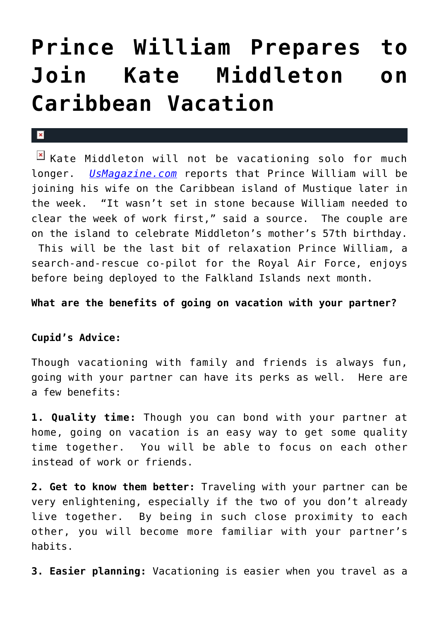## **[Prince William Prepares to](https://cupidspulse.com/25848/prince-william-prepares-to-join-kate-middleton-on-caribbean-vacation/) [Join Kate Middleton on](https://cupidspulse.com/25848/prince-william-prepares-to-join-kate-middleton-on-caribbean-vacation/) [Caribbean Vacation](https://cupidspulse.com/25848/prince-william-prepares-to-join-kate-middleton-on-caribbean-vacation/)**

## $\mathbf{x}$

 $\boxed{\times}$  Kate Middleton will not be vacationing solo for much longer. *[UsMagazine.com](http://www.usmagazine.com/celebrity-news/news/prince-william-to-join-kate-middleton-on-caribbean-vacation-2012211)* reports that Prince William will be joining his wife on the Caribbean island of Mustique later in the week. "It wasn't set in stone because William needed to clear the week of work first," said a source. The couple are on the island to celebrate Middleton's mother's 57th birthday. This will be the last bit of relaxation Prince William, a search-and-rescue co-pilot for the Royal Air Force, enjoys before being deployed to the Falkland Islands next month.

**What are the benefits of going on vacation with your partner?**

## **Cupid's Advice:**

Though vacationing with family and friends is always fun, going with your partner can have its perks as well. Here are a few benefits:

**1. Quality time:** Though you can bond with your partner at home, going on vacation is an easy way to get some quality time together. You will be able to focus on each other instead of work or friends.

**2. Get to know them better:** Traveling with your partner can be very enlightening, especially if the two of you don't already live together. By being in such close proximity to each other, you will become more familiar with your partner's habits.

**3. Easier planning:** Vacationing is easier when you travel as a